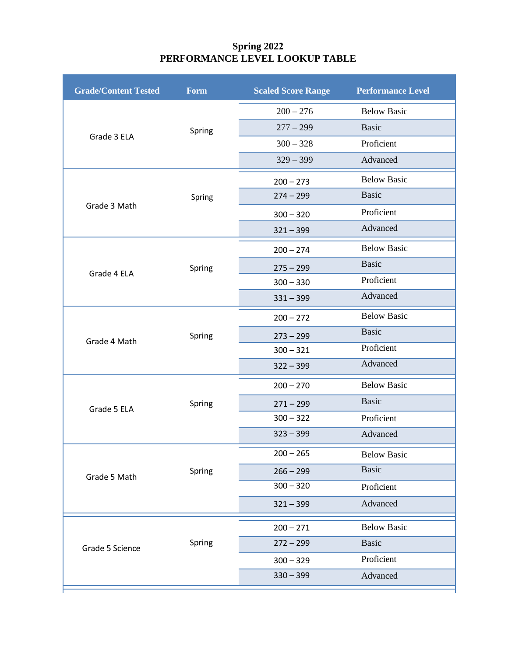## **Spring 2022 PERFORMANCE LEVEL LOOKUP TABLE**

| <b>Grade/Content Tested</b> | Form   | <b>Scaled Score Range</b> | <b>Performance Level</b> |
|-----------------------------|--------|---------------------------|--------------------------|
|                             |        | $200 - 276$               | <b>Below Basic</b>       |
| Grade 3 ELA                 | Spring | $277 - 299$               | <b>Basic</b>             |
|                             |        | $300 - 328$               | Proficient               |
|                             |        | $329 - 399$               | Advanced                 |
|                             |        | $200 - 273$               | <b>Below Basic</b>       |
| Grade 3 Math                | Spring | $274 - 299$               | <b>Basic</b>             |
|                             |        | $300 - 320$               | Proficient               |
|                             |        | $321 - 399$               | Advanced                 |
|                             |        | $200 - 274$               | <b>Below Basic</b>       |
|                             | Spring | $275 - 299$               | <b>Basic</b>             |
| Grade 4 ELA                 |        | $300 - 330$               | Proficient               |
|                             |        | $331 - 399$               | Advanced                 |
|                             |        | $200 - 272$               | <b>Below Basic</b>       |
| Grade 4 Math                | Spring | $273 - 299$               | <b>Basic</b>             |
|                             |        | $300 - 321$               | Proficient               |
|                             |        | $322 - 399$               | Advanced                 |
|                             |        | $200 - 270$               | <b>Below Basic</b>       |
| Grade 5 ELA                 | Spring | $271 - 299$               | <b>Basic</b>             |
|                             |        | $300 - 322$               | Proficient               |
|                             |        | $323 - 399$               | Advanced                 |
|                             |        | $200 - 265$               | <b>Below Basic</b>       |
| Grade 5 Math                | Spring | $266 - 299$               | <b>Basic</b>             |
|                             |        | $300 - 320$               | Proficient               |
|                             |        | $321 - 399$               | Advanced                 |
|                             | Spring | $200 - 271$               | <b>Below Basic</b>       |
| Grade 5 Science             |        | $272 - 299$               | <b>Basic</b>             |
|                             |        | $300 - 329$               | Proficient               |
|                             |        | $330 - 399$               | Advanced                 |